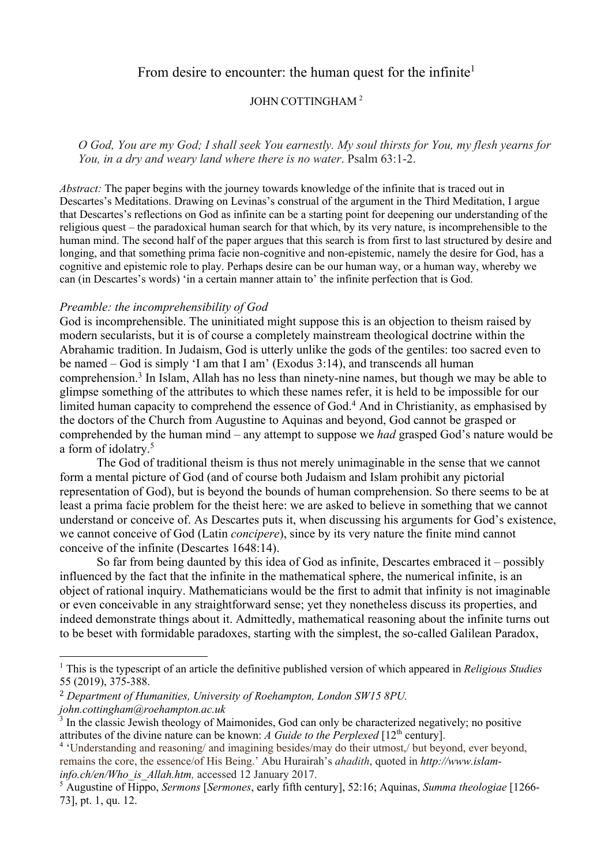# From desire to encounter: the human quest for the infinite<sup>1</sup>

# JOHN COTTINGHAM<sup>2</sup>

*O God, You are my God; I shall seek You earnestly. My soul thirsts for You, my flesh yearns for You, in a dry and weary land where there is no water*. Psalm 63:1-2.

*Abstract:* The paper begins with the journey towards knowledge of the infinite that is traced out in Descartes's Meditations. Drawing on Levinas's construal of the argument in the Third Meditation, I argue that Descartes's reflections on God as infinite can be a starting point for deepening our understanding of the religious quest – the paradoxical human search for that which, by its very nature, is incomprehensible to the human mind. The second half of the paper argues that this search is from first to last structured by desire and longing, and that something prima facie non-cognitive and non-epistemic, namely the desire for God, has a cognitive and epistemic role to play. Perhaps desire can be our human way, or a human way, whereby we can (in Descartes's words) 'in a certain manner attain to' the infinite perfection that is God.

# *Preamble: the incomprehensibility of God*

God is incomprehensible. The uninitiated might suppose this is an objection to theism raised by modern secularists, but it is of course a completely mainstream theological doctrine within the Abrahamic tradition. In Judaism, God is utterly unlike the gods of the gentiles: too sacred even to be named – God is simply 'I am that I am' (Exodus 3:14), and transcends all human comprehension.3 In Islam, Allah has no less than ninety-nine names, but though we may be able to glimpse something of the attributes to which these names refer, it is held to be impossible for our limited human capacity to comprehend the essence of God.<sup>4</sup> And in Christianity, as emphasised by the doctors of the Church from Augustine to Aquinas and beyond, God cannot be grasped or comprehended by the human mind – any attempt to suppose we *had* grasped God's nature would be a form of idolatry.5

The God of traditional theism is thus not merely unimaginable in the sense that we cannot form a mental picture of God (and of course both Judaism and Islam prohibit any pictorial representation of God), but is beyond the bounds of human comprehension. So there seems to be at least a prima facie problem for the theist here: we are asked to believe in something that we cannot understand or conceive of. As Descartes puts it, when discussing his arguments for God's existence, we cannot conceive of God (Latin *concipere*), since by its very nature the finite mind cannot conceive of the infinite (Descartes 1648:14).

So far from being daunted by this idea of God as infinite, Descartes embraced it – possibly influenced by the fact that the infinite in the mathematical sphere, the numerical infinite, is an object of rational inquiry. Mathematicians would be the first to admit that infinity is not imaginable or even conceivable in any straightforward sense; yet they nonetheless discuss its properties, and indeed demonstrate things about it. Admittedly, mathematical reasoning about the infinite turns out to be beset with formidable paradoxes, starting with the simplest, the so-called Galilean Paradox,

<sup>1</sup> This is the typescript of an article the definitive published version of which appeared in *Religious Studies*  55 (2019), 375-388.

<sup>2</sup> *Department of Humanities, University of Roehampton, London SW15 8PU. john.cottingham@roehampton.ac.uk*

In the classic Jewish theology of Maimonides, God can only be characterized negatively; no positive attributes of the divine nature can be known: *A Guide to the Perplexed*  $[12<sup>th</sup>$  century].

<sup>4</sup> 'Understanding and reasoning/ and imagining besides/may do their utmost,/ but beyond, ever beyond, remains the core, the essence/of His Being.' Abu Hurairah's *ahadith*, quoted in *http://www.islaminfo.ch/en/Who\_is\_Allah.htm,* accessed 12 January 2017.

<sup>5</sup> Augustine of Hippo, *Sermons* [*Sermones*, early fifth century], 52:16; Aquinas, *Summa theologiae* [1266- 73], pt. 1, qu. 12.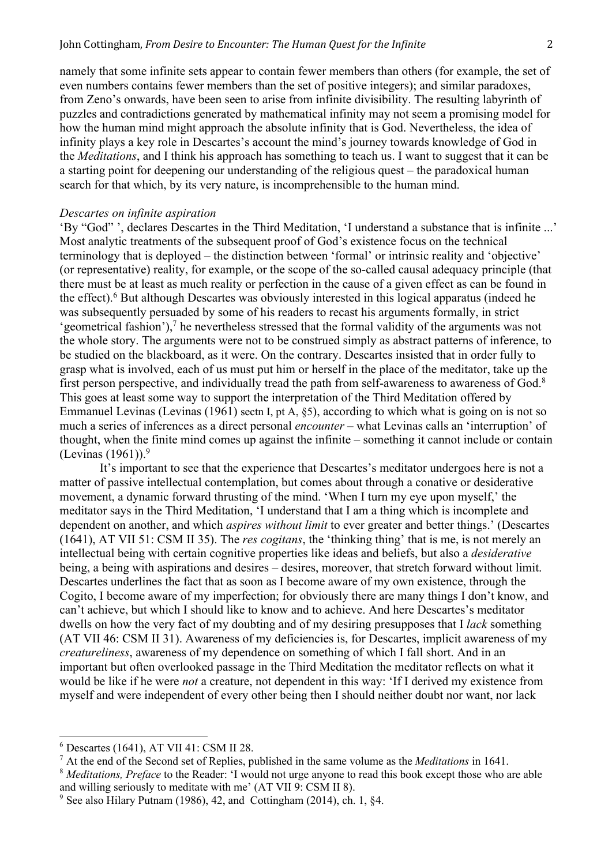namely that some infinite sets appear to contain fewer members than others (for example, the set of even numbers contains fewer members than the set of positive integers); and similar paradoxes, from Zeno's onwards, have been seen to arise from infinite divisibility. The resulting labyrinth of puzzles and contradictions generated by mathematical infinity may not seem a promising model for how the human mind might approach the absolute infinity that is God. Nevertheless, the idea of infinity plays a key role in Descartes's account the mind's journey towards knowledge of God in the *Meditations*, and I think his approach has something to teach us. I want to suggest that it can be a starting point for deepening our understanding of the religious quest – the paradoxical human search for that which, by its very nature, is incomprehensible to the human mind.

#### *Descartes on infinite aspiration*

'By "God" ', declares Descartes in the Third Meditation, 'I understand a substance that is infinite ...' Most analytic treatments of the subsequent proof of God's existence focus on the technical terminology that is deployed – the distinction between 'formal' or intrinsic reality and 'objective' (or representative) reality, for example, or the scope of the so-called causal adequacy principle (that there must be at least as much reality or perfection in the cause of a given effect as can be found in the effect).<sup>6</sup> But although Descartes was obviously interested in this logical apparatus (indeed he was subsequently persuaded by some of his readers to recast his arguments formally, in strict 'geometrical fashion'),<sup>7</sup> he nevertheless stressed that the formal validity of the arguments was not the whole story. The arguments were not to be construed simply as abstract patterns of inference, to be studied on the blackboard, as it were. On the contrary. Descartes insisted that in order fully to grasp what is involved, each of us must put him or herself in the place of the meditator, take up the first person perspective, and individually tread the path from self-awareness to awareness of God.<sup>8</sup> This goes at least some way to support the interpretation of the Third Meditation offered by Emmanuel Levinas (Levinas (1961) sectn I, pt A, §5), according to which what is going on is not so much a series of inferences as a direct personal *encounter* – what Levinas calls an 'interruption' of thought, when the finite mind comes up against the infinite – something it cannot include or contain (Levinas (1961)). 9

It's important to see that the experience that Descartes's meditator undergoes here is not a matter of passive intellectual contemplation, but comes about through a conative or desiderative movement, a dynamic forward thrusting of the mind. 'When I turn my eye upon myself,' the meditator says in the Third Meditation, 'I understand that I am a thing which is incomplete and dependent on another, and which *aspires without limit* to ever greater and better things.' (Descartes (1641), AT VII 51: CSM II 35). The *res cogitans*, the 'thinking thing' that is me, is not merely an intellectual being with certain cognitive properties like ideas and beliefs, but also a *desiderative*  being, a being with aspirations and desires – desires, moreover, that stretch forward without limit. Descartes underlines the fact that as soon as I become aware of my own existence, through the Cogito, I become aware of my imperfection; for obviously there are many things I don't know, and can't achieve, but which I should like to know and to achieve. And here Descartes's meditator dwells on how the very fact of my doubting and of my desiring presupposes that I *lack* something (AT VII 46: CSM II 31). Awareness of my deficiencies is, for Descartes, implicit awareness of my *creatureliness*, awareness of my dependence on something of which I fall short. And in an important but often overlooked passage in the Third Meditation the meditator reflects on what it would be like if he were *not* a creature, not dependent in this way: 'If I derived my existence from myself and were independent of every other being then I should neither doubt nor want, nor lack

 $6$  Descartes (1641), AT VII 41: CSM II 28.

<sup>7</sup> At the end of the Second set of Replies, published in the same volume as the *Meditations* in 1641.

<sup>8</sup> *Meditations, Preface* to the Reader: 'I would not urge anyone to read this book except those who are able and willing seriously to meditate with me' (AT VII 9: CSM II 8).

<sup>&</sup>lt;sup>9</sup> See also Hilary Putnam (1986), 42, and Cottingham (2014), ch. 1,  $\S4$ .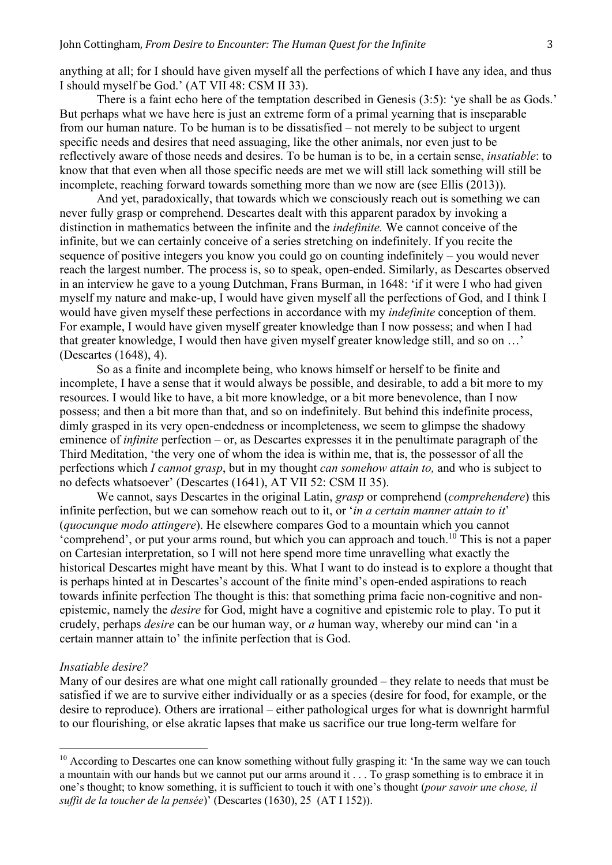anything at all; for I should have given myself all the perfections of which I have any idea, and thus I should myself be God.' (AT VII 48: CSM II 33).

There is a faint echo here of the temptation described in Genesis (3:5): 'ye shall be as Gods.' But perhaps what we have here is just an extreme form of a primal yearning that is inseparable from our human nature. To be human is to be dissatisfied – not merely to be subject to urgent specific needs and desires that need assuaging, like the other animals, nor even just to be reflectively aware of those needs and desires. To be human is to be, in a certain sense, *insatiable*: to know that that even when all those specific needs are met we will still lack something will still be incomplete, reaching forward towards something more than we now are (see Ellis (2013)).

And yet, paradoxically, that towards which we consciously reach out is something we can never fully grasp or comprehend. Descartes dealt with this apparent paradox by invoking a distinction in mathematics between the infinite and the *indefinite.* We cannot conceive of the infinite, but we can certainly conceive of a series stretching on indefinitely. If you recite the sequence of positive integers you know you could go on counting indefinitely – you would never reach the largest number. The process is, so to speak, open-ended. Similarly, as Descartes observed in an interview he gave to a young Dutchman, Frans Burman, in 1648: 'if it were I who had given myself my nature and make-up, I would have given myself all the perfections of God, and I think I would have given myself these perfections in accordance with my *indefinite* conception of them. For example, I would have given myself greater knowledge than I now possess; and when I had that greater knowledge, I would then have given myself greater knowledge still, and so on …' (Descartes (1648), 4).

So as a finite and incomplete being, who knows himself or herself to be finite and incomplete, I have a sense that it would always be possible, and desirable, to add a bit more to my resources. I would like to have, a bit more knowledge, or a bit more benevolence, than I now possess; and then a bit more than that, and so on indefinitely. But behind this indefinite process, dimly grasped in its very open-endedness or incompleteness, we seem to glimpse the shadowy eminence of *infinite* perfection – or, as Descartes expresses it in the penultimate paragraph of the Third Meditation, 'the very one of whom the idea is within me, that is, the possessor of all the perfections which *I cannot grasp*, but in my thought *can somehow attain to,* and who is subject to no defects whatsoever' (Descartes (1641), AT VII 52: CSM II 35).

We cannot, says Descartes in the original Latin, *grasp* or comprehend (*comprehendere*) this infinite perfection, but we can somehow reach out to it, or '*in a certain manner attain to it*' (*quocunque modo attingere*). He elsewhere compares God to a mountain which you cannot 'comprehend', or put your arms round, but which you can approach and touch.10 This is not a paper on Cartesian interpretation, so I will not here spend more time unravelling what exactly the historical Descartes might have meant by this. What I want to do instead is to explore a thought that is perhaps hinted at in Descartes's account of the finite mind's open-ended aspirations to reach towards infinite perfection The thought is this: that something prima facie non-cognitive and nonepistemic, namely the *desire* for God, might have a cognitive and epistemic role to play. To put it crudely, perhaps *desire* can be our human way, or *a* human way, whereby our mind can 'in a certain manner attain to' the infinite perfection that is God.

### *Insatiable desire?*

Many of our desires are what one might call rationally grounded – they relate to needs that must be satisfied if we are to survive either individually or as a species (desire for food, for example, or the desire to reproduce). Others are irrational – either pathological urges for what is downright harmful to our flourishing, or else akratic lapses that make us sacrifice our true long-term welfare for

<sup>&</sup>lt;sup>10</sup> According to Descartes one can know something without fully grasping it: 'In the same way we can touch a mountain with our hands but we cannot put our arms around it . . . To grasp something is to embrace it in one's thought; to know something, it is sufficient to touch it with one's thought (*pour savoir une chose, il suffit de la toucher de la pensée*)' (Descartes (1630), 25 (AT I 152)).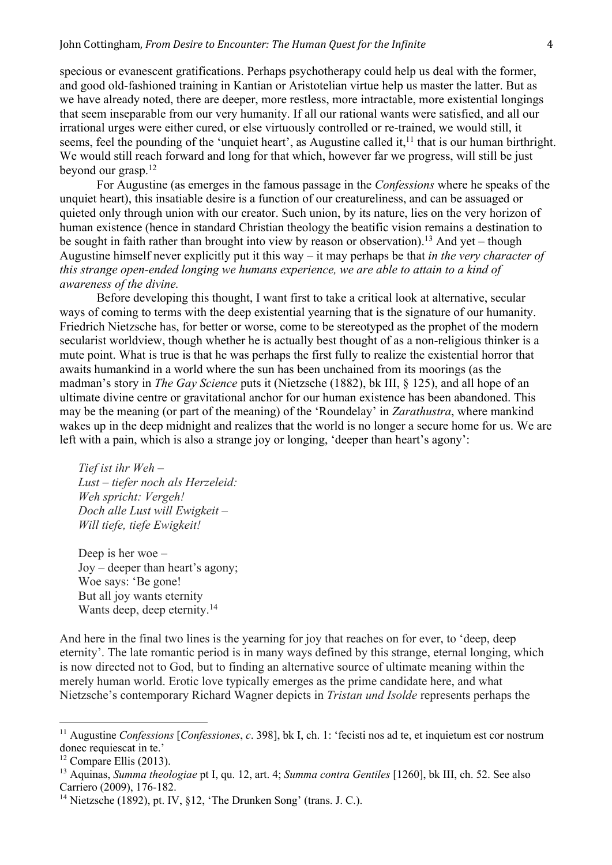specious or evanescent gratifications. Perhaps psychotherapy could help us deal with the former, and good old-fashioned training in Kantian or Aristotelian virtue help us master the latter. But as we have already noted, there are deeper, more restless, more intractable, more existential longings that seem inseparable from our very humanity. If all our rational wants were satisfied, and all our irrational urges were either cured, or else virtuously controlled or re-trained, we would still, it seems, feel the pounding of the 'unquiet heart', as Augustine called it,  $11$  that is our human birthright. We would still reach forward and long for that which, however far we progress, will still be just beyond our grasp.12

For Augustine (as emerges in the famous passage in the *Confessions* where he speaks of the unquiet heart), this insatiable desire is a function of our creatureliness, and can be assuaged or quieted only through union with our creator. Such union, by its nature, lies on the very horizon of human existence (hence in standard Christian theology the beatific vision remains a destination to be sought in faith rather than brought into view by reason or observation).<sup>13</sup> And yet – though Augustine himself never explicitly put it this way – it may perhaps be that *in the very character of this strange open-ended longing we humans experience, we are able to attain to a kind of awareness of the divine.* 

Before developing this thought, I want first to take a critical look at alternative, secular ways of coming to terms with the deep existential yearning that is the signature of our humanity. Friedrich Nietzsche has, for better or worse, come to be stereotyped as the prophet of the modern secularist worldview, though whether he is actually best thought of as a non-religious thinker is a mute point. What is true is that he was perhaps the first fully to realize the existential horror that awaits humankind in a world where the sun has been unchained from its moorings (as the madman's story in *The Gay Science* puts it (Nietzsche (1882), bk III, § 125), and all hope of an ultimate divine centre or gravitational anchor for our human existence has been abandoned. This may be the meaning (or part of the meaning) of the 'Roundelay' in *Zarathustra*, where mankind wakes up in the deep midnight and realizes that the world is no longer a secure home for us. We are left with a pain, which is also a strange joy or longing, 'deeper than heart's agony':

*Tief ist ihr Weh – Lust – tiefer noch als Herzeleid: Weh spricht: Vergeh! Doch alle Lust will Ewigkeit – Will tiefe, tiefe Ewigkeit!*

Deep is her woe – Joy – deeper than heart's agony; Woe says: 'Be gone! But all joy wants eternity Wants deep, deep eternity.<sup>14</sup>

And here in the final two lines is the yearning for joy that reaches on for ever, to 'deep, deep eternity'. The late romantic period is in many ways defined by this strange, eternal longing, which is now directed not to God, but to finding an alternative source of ultimate meaning within the merely human world. Erotic love typically emerges as the prime candidate here, and what Nietzsche's contemporary Richard Wagner depicts in *Tristan und Isolde* represents perhaps the

<sup>11</sup> Augustine *Confessions* [*Confessiones*, *c*. 398], bk I, ch. 1: 'fecisti nos ad te, et inquietum est cor nostrum donec requiescat in te.'

 $12$  Compare Ellis (2013).

<sup>13</sup> Aquinas, *Summa theologiae* pt I, qu. 12, art. 4; *Summa contra Gentiles* [1260], bk III, ch. 52. See also Carriero (2009), 176-182.

<sup>&</sup>lt;sup>14</sup> Nietzsche (1892), pt. IV,  $\S$ 12, 'The Drunken Song' (trans. J. C.).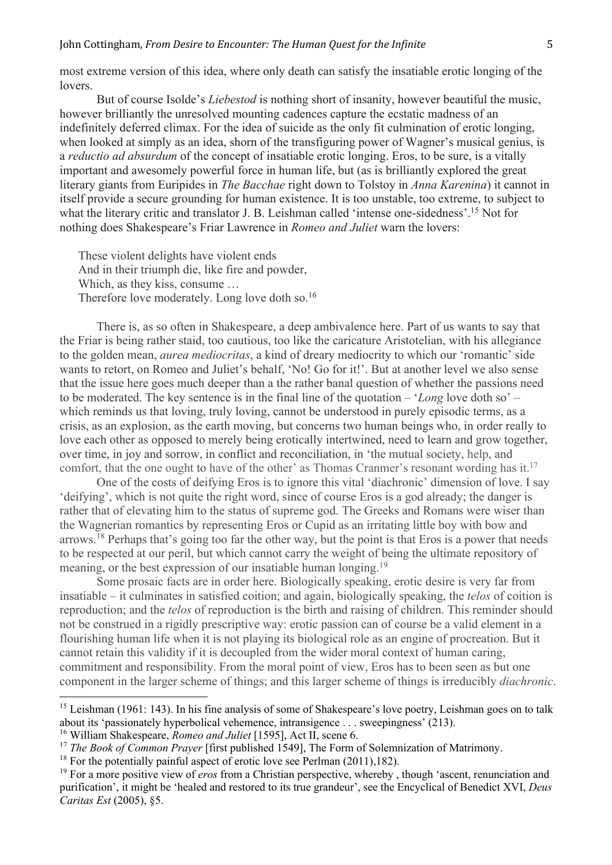most extreme version of this idea, where only death can satisfy the insatiable erotic longing of the lovers.

But of course Isolde's *Liebestod* is nothing short of insanity, however beautiful the music, however brilliantly the unresolved mounting cadences capture the ecstatic madness of an indefinitely deferred climax. For the idea of suicide as the only fit culmination of erotic longing, when looked at simply as an idea, shorn of the transfiguring power of Wagner's musical genius, is a *reductio ad absurdum* of the concept of insatiable erotic longing. Eros, to be sure, is a vitally important and awesomely powerful force in human life, but (as is brilliantly explored the great literary giants from Euripides in *The Bacchae* right down to Tolstoy in *Anna Karenina*) it cannot in itself provide a secure grounding for human existence. It is too unstable, too extreme, to subject to what the literary critic and translator J. B. Leishman called 'intense one-sidedness'.15 Not for nothing does Shakespeare's Friar Lawrence in *Romeo and Juliet* warn the lovers:

These violent delights have violent ends And in their triumph die, like fire and powder, Which, as they kiss, consume … Therefore love moderately. Long love doth so.<sup>16</sup>

There is, as so often in Shakespeare, a deep ambivalence here. Part of us wants to say that the Friar is being rather staid, too cautious, too like the caricature Aristotelian, with his allegiance to the golden mean, *aurea mediocritas*, a kind of dreary mediocrity to which our 'romantic' side wants to retort, on Romeo and Juliet's behalf, 'No! Go for it!'. But at another level we also sense that the issue here goes much deeper than a the rather banal question of whether the passions need to be moderated. The key sentence is in the final line of the quotation – '*Long* love doth so' – which reminds us that loving, truly loving, cannot be understood in purely episodic terms, as a crisis, as an explosion, as the earth moving, but concerns two human beings who, in order really to love each other as opposed to merely being erotically intertwined, need to learn and grow together, over time, in joy and sorrow, in conflict and reconciliation, in 'the mutual society, help, and comfort, that the one ought to have of the other' as Thomas Cranmer's resonant wording has it.<sup>17</sup>

One of the costs of deifying Eros is to ignore this vital 'diachronic' dimension of love. I say 'deifying', which is not quite the right word, since of course Eros is a god already; the danger is rather that of elevating him to the status of supreme god. The Greeks and Romans were wiser than the Wagnerian romantics by representing Eros or Cupid as an irritating little boy with bow and arrows.<sup>18</sup> Perhaps that's going too far the other way, but the point is that Eros is a power that needs to be respected at our peril, but which cannot carry the weight of being the ultimate repository of meaning, or the best expression of our insatiable human longing.<sup>19</sup>

Some prosaic facts are in order here. Biologically speaking, erotic desire is very far from insatiable – it culminates in satisfied coition; and again, biologically speaking, the *telos* of coition is reproduction; and the *telos* of reproduction is the birth and raising of children. This reminder should not be construed in a rigidly prescriptive way: erotic passion can of course be a valid element in a flourishing human life when it is not playing its biological role as an engine of procreation. But it cannot retain this validity if it is decoupled from the wider moral context of human caring, commitment and responsibility. From the moral point of view, Eros has to been seen as but one component in the larger scheme of things; and this larger scheme of things is irreducibly *diachronic*.

<sup>&</sup>lt;sup>15</sup> Leishman (1961: 143). In his fine analysis of some of Shakespeare's love poetry, Leishman goes on to talk about its 'passionately hyperbolical vehemence, intransigence . . . sweepingness' (213).

<sup>16</sup> William Shakespeare, *Romeo and Juliet* [1595], Act II, scene 6.

<sup>&</sup>lt;sup>17</sup> *The Book of Common Prayer* [first published 1549], The Form of Solemnization of Matrimony.

<sup>&</sup>lt;sup>18</sup> For the potentially painful aspect of erotic love see Perlman (2011),182).

<sup>&</sup>lt;sup>19</sup> For a more positive view of *eros* from a Christian perspective, whereby, though 'ascent, renunciation and purification', it might be 'healed and restored to its true grandeur', see the Encyclical of Benedict XVI, *Deus Caritas Est* (2005), §5.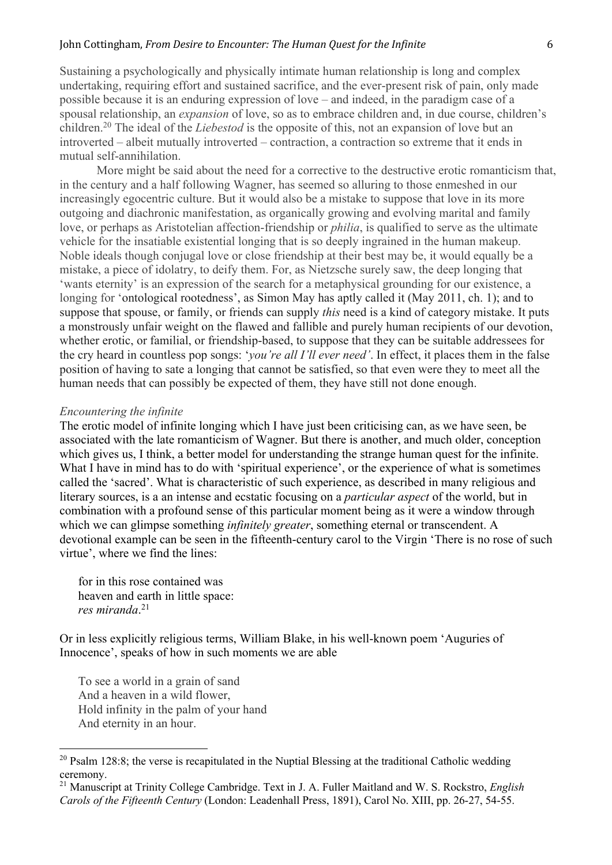### John Cottingham, *From Desire to Encounter: The Human Quest for the Infinite* 6

Sustaining a psychologically and physically intimate human relationship is long and complex undertaking, requiring effort and sustained sacrifice, and the ever-present risk of pain, only made possible because it is an enduring expression of love – and indeed, in the paradigm case of a spousal relationship, an *expansion* of love, so as to embrace children and, in due course, children's children.20 The ideal of the *Liebestod* is the opposite of this, not an expansion of love but an introverted – albeit mutually introverted – contraction, a contraction so extreme that it ends in mutual self-annihilation.

More might be said about the need for a corrective to the destructive erotic romanticism that, in the century and a half following Wagner, has seemed so alluring to those enmeshed in our increasingly egocentric culture. But it would also be a mistake to suppose that love in its more outgoing and diachronic manifestation, as organically growing and evolving marital and family love, or perhaps as Aristotelian affection-friendship or *philia*, is qualified to serve as the ultimate vehicle for the insatiable existential longing that is so deeply ingrained in the human makeup. Noble ideals though conjugal love or close friendship at their best may be, it would equally be a mistake, a piece of idolatry, to deify them. For, as Nietzsche surely saw, the deep longing that 'wants eternity' is an expression of the search for a metaphysical grounding for our existence, a longing for 'ontological rootedness', as Simon May has aptly called it (May 2011, ch. 1); and to suppose that spouse, or family, or friends can supply *this* need is a kind of category mistake. It puts a monstrously unfair weight on the flawed and fallible and purely human recipients of our devotion, whether erotic, or familial, or friendship-based, to suppose that they can be suitable addressees for the cry heard in countless pop songs: '*you're all I'll ever need'*. In effect, it places them in the false position of having to sate a longing that cannot be satisfied, so that even were they to meet all the human needs that can possibly be expected of them, they have still not done enough.

# *Encountering the infinite*

The erotic model of infinite longing which I have just been criticising can, as we have seen, be associated with the late romanticism of Wagner. But there is another, and much older, conception which gives us, I think, a better model for understanding the strange human quest for the infinite. What I have in mind has to do with 'spiritual experience', or the experience of what is sometimes called the 'sacred'. What is characteristic of such experience, as described in many religious and literary sources, is a an intense and ecstatic focusing on a *particular aspect* of the world, but in combination with a profound sense of this particular moment being as it were a window through which we can glimpse something *infinitely greater*, something eternal or transcendent. A devotional example can be seen in the fifteenth-century carol to the Virgin 'There is no rose of such virtue', where we find the lines:

for in this rose contained was heaven and earth in little space: *res miranda*. 21

Or in less explicitly religious terms, William Blake, in his well-known poem 'Auguries of Innocence', speaks of how in such moments we are able

To see a world in a grain of sand And a heaven in a wild flower, Hold infinity in the palm of your hand And eternity in an hour.

<sup>&</sup>lt;sup>20</sup> Psalm 128:8; the verse is recapitulated in the Nuptial Blessing at the traditional Catholic wedding ceremony.

<sup>21</sup> Manuscript at Trinity College Cambridge. Text in J. A. Fuller Maitland and W. S. Rockstro, *English Carols of the Fifteenth Century* (London: Leadenhall Press, 1891), Carol No. XIII, pp. 26-27, 54-55.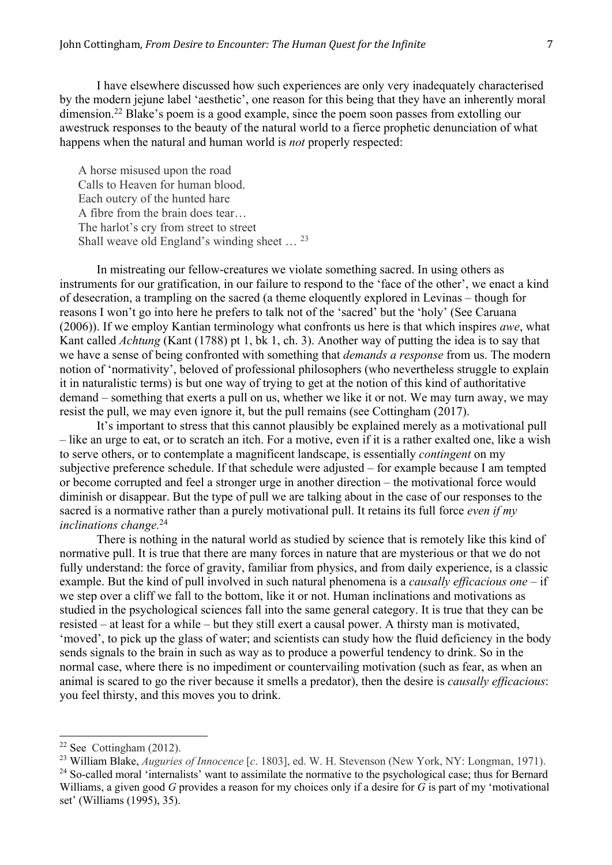I have elsewhere discussed how such experiences are only very inadequately characterised by the modern jejune label 'aesthetic', one reason for this being that they have an inherently moral dimension.22 Blake's poem is a good example, since the poem soon passes from extolling our awestruck responses to the beauty of the natural world to a fierce prophetic denunciation of what happens when the natural and human world is *not* properly respected:

A horse misused upon the road Calls to Heaven for human blood. Each outcry of the hunted hare A fibre from the brain does tear… The harlot's cry from street to street Shall weave old England's winding sheet … 23

In mistreating our fellow-creatures we violate something sacred. In using others as instruments for our gratification, in our failure to respond to the 'face of the other', we enact a kind of desecration, a trampling on the sacred (a theme eloquently explored in Levinas – though for reasons I won't go into here he prefers to talk not of the 'sacred' but the 'holy' (See Caruana (2006)). If we employ Kantian terminology what confronts us here is that which inspires *awe*, what Kant called *Achtung* (Kant (1788) pt 1, bk 1, ch. 3). Another way of putting the idea is to say that we have a sense of being confronted with something that *demands a response* from us. The modern notion of 'normativity', beloved of professional philosophers (who nevertheless struggle to explain it in naturalistic terms) is but one way of trying to get at the notion of this kind of authoritative demand – something that exerts a pull on us, whether we like it or not. We may turn away, we may resist the pull, we may even ignore it, but the pull remains (see Cottingham (2017).

It's important to stress that this cannot plausibly be explained merely as a motivational pull – like an urge to eat, or to scratch an itch. For a motive, even if it is a rather exalted one, like a wish to serve others, or to contemplate a magnificent landscape, is essentially *contingent* on my subjective preference schedule. If that schedule were adjusted – for example because I am tempted or become corrupted and feel a stronger urge in another direction – the motivational force would diminish or disappear. But the type of pull we are talking about in the case of our responses to the sacred is a normative rather than a purely motivational pull. It retains its full force *even if my inclinations change.*<sup>24</sup>

There is nothing in the natural world as studied by science that is remotely like this kind of normative pull. It is true that there are many forces in nature that are mysterious or that we do not fully understand: the force of gravity, familiar from physics, and from daily experience, is a classic example. But the kind of pull involved in such natural phenomena is a *causally efficacious one* – if we step over a cliff we fall to the bottom, like it or not. Human inclinations and motivations as studied in the psychological sciences fall into the same general category. It is true that they can be resisted – at least for a while – but they still exert a causal power. A thirsty man is motivated, 'moved', to pick up the glass of water; and scientists can study how the fluid deficiency in the body sends signals to the brain in such as way as to produce a powerful tendency to drink. So in the normal case, where there is no impediment or countervailing motivation (such as fear, as when an animal is scared to go the river because it smells a predator), then the desire is *causally efficacious*: you feel thirsty, and this moves you to drink.

 $22$  See Cottingham (2012).

<sup>23</sup> William Blake, *Auguries of Innocence* [*c*. 1803], ed. W. H. Stevenson (New York, NY: Longman, 1971). <sup>24</sup> So-called moral 'internalists' want to assimilate the normative to the psychological case; thus for Bernard Williams, a given good *G* provides a reason for my choices only if a desire for *G* is part of my 'motivational set' (Williams (1995), 35).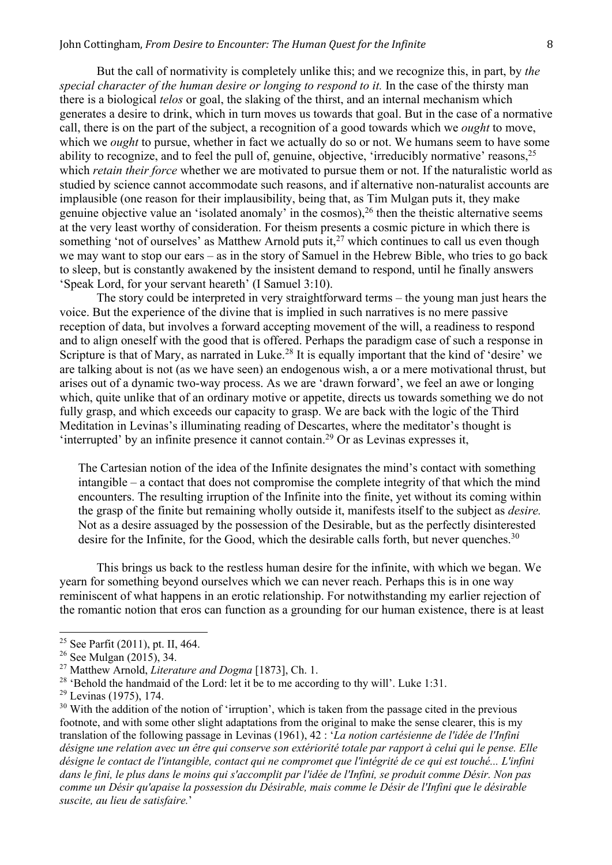But the call of normativity is completely unlike this; and we recognize this, in part, by *the*  special character of the human desire or longing to respond to *it*. In the case of the thirsty man there is a biological *telos* or goal, the slaking of the thirst, and an internal mechanism which generates a desire to drink, which in turn moves us towards that goal. But in the case of a normative call, there is on the part of the subject, a recognition of a good towards which we *ought* to move, which we *ought* to pursue, whether in fact we actually do so or not. We humans seem to have some ability to recognize, and to feel the pull of, genuine, objective, 'irreducibly normative' reasons,  $2^5$ which *retain their force* whether we are motivated to pursue them or not. If the naturalistic world as studied by science cannot accommodate such reasons, and if alternative non-naturalist accounts are implausible (one reason for their implausibility, being that, as Tim Mulgan puts it, they make genuine objective value an 'isolated anomaly' in the cosmos),<sup>26</sup> then the theistic alternative seems at the very least worthy of consideration. For theism presents a cosmic picture in which there is something 'not of ourselves' as Matthew Arnold puts it,<sup>27</sup> which continues to call us even though we may want to stop our ears – as in the story of Samuel in the Hebrew Bible, who tries to go back to sleep, but is constantly awakened by the insistent demand to respond, until he finally answers 'Speak Lord, for your servant heareth' (I Samuel 3:10).

The story could be interpreted in very straightforward terms – the young man just hears the voice. But the experience of the divine that is implied in such narratives is no mere passive reception of data, but involves a forward accepting movement of the will, a readiness to respond and to align oneself with the good that is offered. Perhaps the paradigm case of such a response in Scripture is that of Mary, as narrated in Luke.<sup>28</sup> It is equally important that the kind of 'desire' we are talking about is not (as we have seen) an endogenous wish, a or a mere motivational thrust, but arises out of a dynamic two-way process. As we are 'drawn forward', we feel an awe or longing which, quite unlike that of an ordinary motive or appetite, directs us towards something we do not fully grasp, and which exceeds our capacity to grasp. We are back with the logic of the Third Meditation in Levinas's illuminating reading of Descartes, where the meditator's thought is 'interrupted' by an infinite presence it cannot contain.<sup>29</sup> Or as Levinas expresses it,

The Cartesian notion of the idea of the Infinite designates the mind's contact with something intangible – a contact that does not compromise the complete integrity of that which the mind encounters. The resulting irruption of the Infinite into the finite, yet without its coming within the grasp of the finite but remaining wholly outside it, manifests itself to the subject as *desire.*  Not as a desire assuaged by the possession of the Desirable, but as the perfectly disinterested desire for the Infinite, for the Good, which the desirable calls forth, but never quenches.<sup>30</sup>

This brings us back to the restless human desire for the infinite, with which we began. We yearn for something beyond ourselves which we can never reach. Perhaps this is in one way reminiscent of what happens in an erotic relationship. For notwithstanding my earlier rejection of the romantic notion that eros can function as a grounding for our human existence, there is at least

<sup>&</sup>lt;sup>25</sup> See Parfit (2011), pt. II, 464.<br><sup>26</sup> See Mulgan (2015), 34.

<sup>27</sup> Matthew Arnold, *Literature and Dogma* [1873], Ch. 1.

<sup>&</sup>lt;sup>28</sup> 'Behold the handmaid of the Lord: let it be to me according to thy will'. Luke 1:31.

 $29$  Levinas (1975), 174.

<sup>&</sup>lt;sup>30</sup> With the addition of the notion of 'irruption', which is taken from the passage cited in the previous footnote, and with some other slight adaptations from the original to make the sense clearer, this is my translation of the following passage in Levinas (1961), 42 : '*La notion cartésienne de l'idée de l'Infini désigne une relation avec un être qui conserve son extériorité totale par rapport à celui qui le pense. Elle désigne le contact de l'intangible, contact qui ne compromet que l'intégrité de ce qui est touché... L'infini dans le fini, le plus dans le moins qui s'accomplit par l'idée de l'Infini, se produit comme Désir. Non pas comme un Désir qu'apaise la possession du Désirable, mais comme le Désir de l'Infini que le désirable suscite, au lieu de satisfaire.*'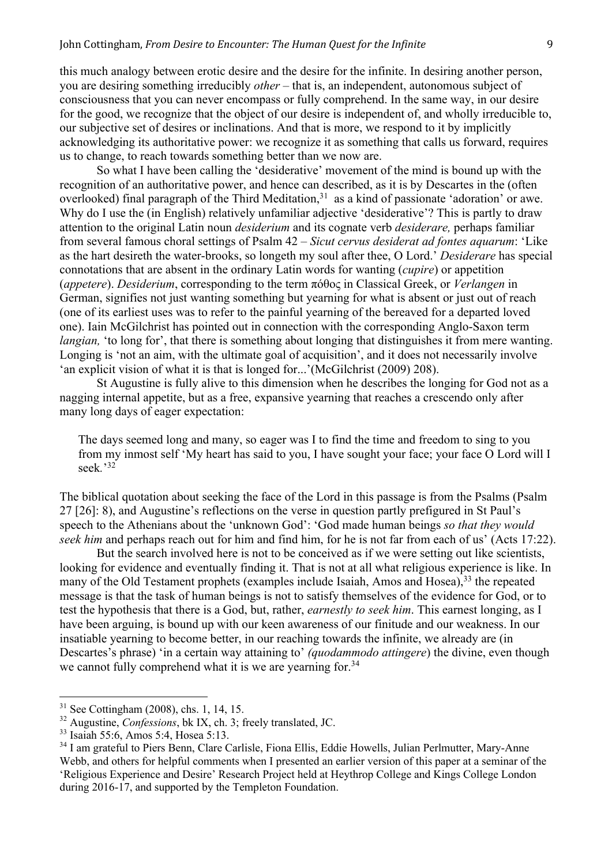this much analogy between erotic desire and the desire for the infinite. In desiring another person, you are desiring something irreducibly *other –* that is, an independent, autonomous subject of consciousness that you can never encompass or fully comprehend. In the same way, in our desire for the good, we recognize that the object of our desire is independent of, and wholly irreducible to, our subjective set of desires or inclinations. And that is more, we respond to it by implicitly acknowledging its authoritative power: we recognize it as something that calls us forward, requires us to change, to reach towards something better than we now are.

So what I have been calling the 'desiderative' movement of the mind is bound up with the recognition of an authoritative power, and hence can described, as it is by Descartes in the (often overlooked) final paragraph of the Third Meditation,<sup>31</sup> as a kind of passionate 'adoration' or awe. Why do I use the (in English) relatively unfamiliar adjective 'desiderative'? This is partly to draw attention to the original Latin noun *desiderium* and its cognate verb *desiderare,* perhaps familiar from several famous choral settings of Psalm 42 – *Sicut cervus desiderat ad fontes aquarum*: 'Like as the hart desireth the water-brooks, so longeth my soul after thee, O Lord.' *Desiderare* has special connotations that are absent in the ordinary Latin words for wanting (*cupire*) or appetition (*appetere*). *Desiderium*, corresponding to the term πόθος in Classical Greek, or *Verlangen* in German, signifies not just wanting something but yearning for what is absent or just out of reach (one of its earliest uses was to refer to the painful yearning of the bereaved for a departed loved one). Iain McGilchrist has pointed out in connection with the corresponding Anglo-Saxon term *langian*, 'to long for', that there is something about longing that distinguishes it from mere wanting. Longing is 'not an aim, with the ultimate goal of acquisition', and it does not necessarily involve 'an explicit vision of what it is that is longed for...'(McGilchrist (2009) 208).

St Augustine is fully alive to this dimension when he describes the longing for God not as a nagging internal appetite, but as a free, expansive yearning that reaches a crescendo only after many long days of eager expectation:

The days seemed long and many, so eager was I to find the time and freedom to sing to you from my inmost self 'My heart has said to you, I have sought your face; your face O Lord will I seek*.*' 32

The biblical quotation about seeking the face of the Lord in this passage is from the Psalms (Psalm 27 [26]: 8), and Augustine's reflections on the verse in question partly prefigured in St Paul's speech to the Athenians about the 'unknown God': 'God made human beings *so that they would seek him* and perhaps reach out for him and find him, for he is not far from each of us' (Acts 17:22).

But the search involved here is not to be conceived as if we were setting out like scientists, looking for evidence and eventually finding it. That is not at all what religious experience is like. In many of the Old Testament prophets (examples include Isaiah, Amos and Hosea),<sup>33</sup> the repeated message is that the task of human beings is not to satisfy themselves of the evidence for God, or to test the hypothesis that there is a God, but, rather, *earnestly to seek him*. This earnest longing, as I have been arguing, is bound up with our keen awareness of our finitude and our weakness. In our insatiable yearning to become better, in our reaching towards the infinite, we already are (in Descartes's phrase) 'in a certain way attaining to' *(quodammodo attingere*) the divine, even though we cannot fully comprehend what it is we are yearning for.<sup>34</sup>

<sup>31</sup> See Cottingham (2008), chs. 1, 14, 15.

<sup>32</sup> Augustine, *Confessions*, bk IX, ch. 3; freely translated, JC.

<sup>33</sup> Isaiah 55:6, Amos 5:4, Hosea 5:13.

<sup>&</sup>lt;sup>34</sup> I am grateful to Piers Benn, Clare Carlisle, Fiona Ellis, Eddie Howells, Julian Perlmutter, Mary-Anne Webb, and others for helpful comments when I presented an earlier version of this paper at a seminar of the 'Religious Experience and Desire' Research Project held at Heythrop College and Kings College London during 2016-17, and supported by the Templeton Foundation.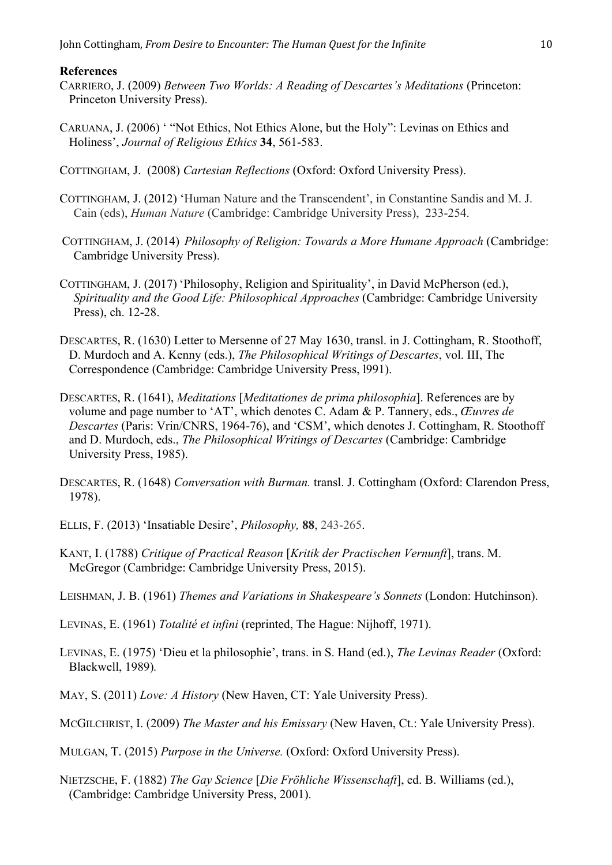# **References**

- CARRIERO, J. (2009) *Between Two Worlds: A Reading of Descartes's Meditations* (Princeton: Princeton University Press).
- CARUANA, J. (2006) ' "Not Ethics, Not Ethics Alone, but the Holy": Levinas on Ethics and Holiness', *Journal of Religious Ethics* **34**, 561-583.
- COTTINGHAM, J. (2008) *Cartesian Reflections* (Oxford: Oxford University Press).
- COTTINGHAM, J. (2012) 'Human Nature and the Transcendent', in Constantine Sandis and M. J. Cain (eds), *Human Nature* (Cambridge: Cambridge University Press), 233-254.
- COTTINGHAM, J. (2014) *Philosophy of Religion: Towards a More Humane Approach* (Cambridge: Cambridge University Press).
- COTTINGHAM, J. (2017) 'Philosophy, Religion and Spirituality', in David McPherson (ed.), *Spirituality and the Good Life: Philosophical Approaches* (Cambridge: Cambridge University Press), ch. 12-28.
- DESCARTES, R. (1630) Letter to Mersenne of 27 May 1630, transl. in J. Cottingham, R. Stoothoff, D. Murdoch and A. Kenny (eds.), *The Philosophical Writings of Descartes*, vol. III, The Correspondence (Cambridge: Cambridge University Press, l991).
- DESCARTES, R. (1641), *Meditations* [*Meditationes de prima philosophia*]. References are by volume and page number to 'AT', which denotes C. Adam & P. Tannery, eds., *Œuvres de Descartes* (Paris: Vrin/CNRS, 1964-76), and 'CSM', which denotes J. Cottingham, R. Stoothoff and D. Murdoch, eds., *The Philosophical Writings of Descartes* (Cambridge: Cambridge University Press, 1985).
- DESCARTES, R. (1648) *Conversation with Burman.* transl. J. Cottingham (Oxford: Clarendon Press, 1978).
- ELLIS, F. (2013) 'Insatiable Desire', *Philosophy,* **88**, 243-265.
- KANT, I. (1788) *Critique of Practical Reason* [*Kritik der Practischen Vernunft*], trans. M. McGregor (Cambridge: Cambridge University Press, 2015).
- LEISHMAN, J. B. (1961) *Themes and Variations in Shakespeare's Sonnets* (London: Hutchinson).
- LEVINAS, E. (1961) *Totalité et infini* (reprinted, The Hague: Nijhoff, 1971).
- LEVINAS, E. (1975) 'Dieu et la philosophie', trans. in S. Hand (ed.), *The Levinas Reader* (Oxford: Blackwell, 1989)*.*
- MAY, S. (2011) *Love: A History* (New Haven, CT: Yale University Press).
- MCGILCHRIST, I. (2009) *The Master and his Emissary* (New Haven, Ct.: Yale University Press).
- MULGAN, T. (2015) *Purpose in the Universe.* (Oxford: Oxford University Press).
- NIETZSCHE, F. (1882) *The Gay Science* [*Die Fröhliche Wissenschaft*], ed. B. Williams (ed.), (Cambridge: Cambridge University Press, 2001).